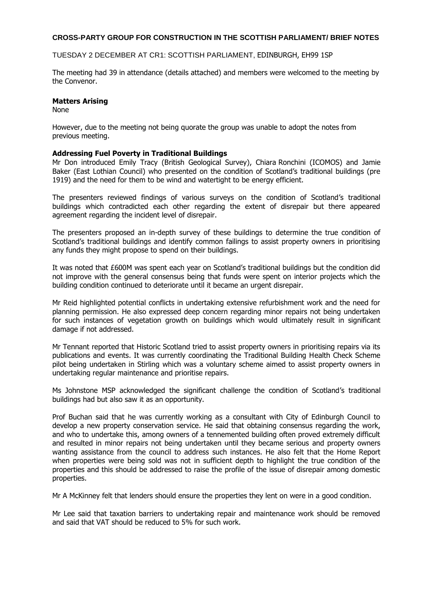### **CROSS-PARTY GROUP FOR CONSTRUCTION IN THE SCOTTISH PARLIAMENT/ BRIEF NOTES**

#### TUESDAY 2 DECEMBER AT CR1: SCOTTISH PARLIAMENT, EDINBURGH, EH99 1SP

The meeting had 39 in attendance (details attached) and members were welcomed to the meeting by the Convenor.

### **Matters Arising**

None

However, due to the meeting not being quorate the group was unable to adopt the notes from previous meeting.

#### **Addressing Fuel Poverty in Traditional Buildings**

Mr Don introduced Emily Tracy (British Geological Survey), Chiara Ronchini (ICOMOS) and Jamie Baker (East Lothian Council) who presented on the condition of Scotland's traditional buildings (pre 1919) and the need for them to be wind and watertight to be energy efficient.

The presenters reviewed findings of various surveys on the condition of Scotland's traditional buildings which contradicted each other regarding the extent of disrepair but there appeared agreement regarding the incident level of disrepair.

The presenters proposed an in-depth survey of these buildings to determine the true condition of Scotland's traditional buildings and identify common failings to assist property owners in prioritising any funds they might propose to spend on their buildings.

It was noted that £600M was spent each year on Scotland's traditional buildings but the condition did not improve with the general consensus being that funds were spent on interior projects which the building condition continued to deteriorate until it became an urgent disrepair.

Mr Reid highlighted potential conflicts in undertaking extensive refurbishment work and the need for planning permission. He also expressed deep concern regarding minor repairs not being undertaken for such instances of vegetation growth on buildings which would ultimately result in significant damage if not addressed.

Mr Tennant reported that Historic Scotland tried to assist property owners in prioritising repairs via its publications and events. It was currently coordinating the Traditional Building Health Check Scheme pilot being undertaken in Stirling which was a voluntary scheme aimed to assist property owners in undertaking regular maintenance and prioritise repairs.

Ms Johnstone MSP acknowledged the significant challenge the condition of Scotland's traditional buildings had but also saw it as an opportunity.

Prof Buchan said that he was currently working as a consultant with City of Edinburgh Council to develop a new property conservation service. He said that obtaining consensus regarding the work, and who to undertake this, among owners of a tennemented building often proved extremely difficult and resulted in minor repairs not being undertaken until they became serious and property owners wanting assistance from the council to address such instances. He also felt that the Home Report when properties were being sold was not in sufficient depth to highlight the true condition of the properties and this should be addressed to raise the profile of the issue of disrepair among domestic properties.

Mr A McKinney felt that lenders should ensure the properties they lent on were in a good condition.

Mr Lee said that taxation barriers to undertaking repair and maintenance work should be removed and said that VAT should be reduced to 5% for such work.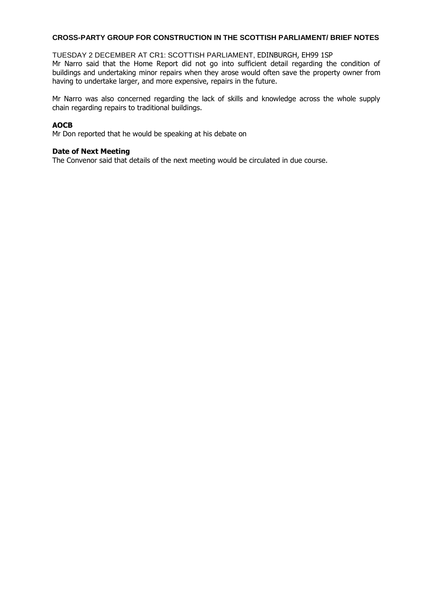## **CROSS-PARTY GROUP FOR CONSTRUCTION IN THE SCOTTISH PARLIAMENT/ BRIEF NOTES**

#### TUESDAY 2 DECEMBER AT CR1: SCOTTISH PARLIAMENT, EDINBURGH, EH99 1SP

Mr Narro said that the Home Report did not go into sufficient detail regarding the condition of buildings and undertaking minor repairs when they arose would often save the property owner from having to undertake larger, and more expensive, repairs in the future.

Mr Narro was also concerned regarding the lack of skills and knowledge across the whole supply chain regarding repairs to traditional buildings.

# **AOCB**

Mr Don reported that he would be speaking at his debate on

### **Date of Next Meeting**

The Convenor said that details of the next meeting would be circulated in due course.